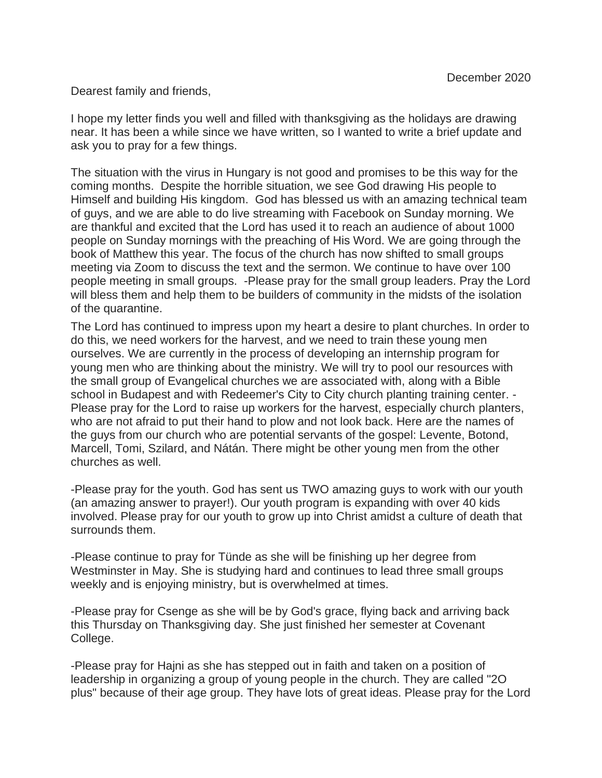Dearest family and friends,

I hope my letter finds you well and filled with thanksgiving as the holidays are drawing near. It has been a while since we have written, so I wanted to write a brief update and ask you to pray for a few things.

The situation with the virus in Hungary is not good and promises to be this way for the coming months. Despite the horrible situation, we see God drawing His people to Himself and building His kingdom. God has blessed us with an amazing technical team of guys, and we are able to do live streaming with Facebook on Sunday morning. We are thankful and excited that the Lord has used it to reach an audience of about 1000 people on Sunday mornings with the preaching of His Word. We are going through the book of Matthew this year. The focus of the church has now shifted to small groups meeting via Zoom to discuss the text and the sermon. We continue to have over 100 people meeting in small groups. -Please pray for the small group leaders. Pray the Lord will bless them and help them to be builders of community in the midsts of the isolation of the quarantine.

The Lord has continued to impress upon my heart a desire to plant churches. In order to do this, we need workers for the harvest, and we need to train these young men ourselves. We are currently in the process of developing an internship program for young men who are thinking about the ministry. We will try to pool our resources with the small group of Evangelical churches we are associated with, along with a Bible school in Budapest and with Redeemer's City to City church planting training center. - Please pray for the Lord to raise up workers for the harvest, especially church planters, who are not afraid to put their hand to plow and not look back. Here are the names of the guys from our church who are potential servants of the gospel: Levente, Botond, Marcell, Tomi, Szilard, and Nátán. There might be other young men from the other churches as well.

-Please pray for the youth. God has sent us TWO amazing guys to work with our youth (an amazing answer to prayer!). Our youth program is expanding with over 40 kids involved. Please pray for our youth to grow up into Christ amidst a culture of death that surrounds them.

-Please continue to pray for Tünde as she will be finishing up her degree from Westminster in May. She is studying hard and continues to lead three small groups weekly and is enjoying ministry, but is overwhelmed at times.

-Please pray for Csenge as she will be by God's grace, flying back and arriving back this Thursday on Thanksgiving day. She just finished her semester at Covenant College.

-Please pray for Hajni as she has stepped out in faith and taken on a position of leadership in organizing a group of young people in the church. They are called "2O plus" because of their age group. They have lots of great ideas. Please pray for the Lord